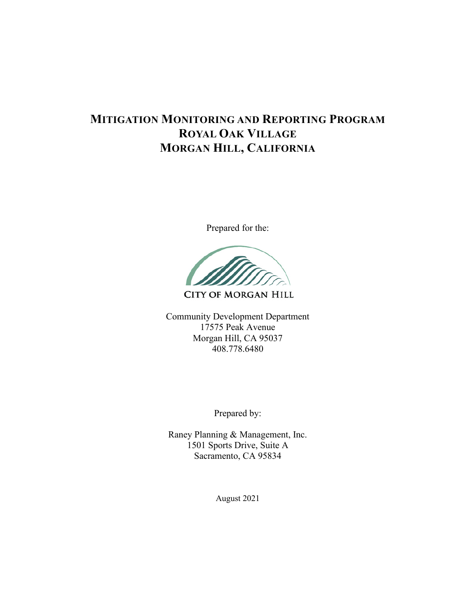# **MITIGATION MONITORING AND REPORTING PROGRAM ROYAL OAK VILLAGE MORGAN HILL, CALIFORNIA**

Prepared for the:

**CITY OF MORGAN HILL** 

Community Development Department 17575 Peak Avenue Morgan Hill, CA 95037 408.778.6480

Prepared by:

Raney Planning & Management, Inc. 1501 Sports Drive, Suite A Sacramento, CA 95834

August 2021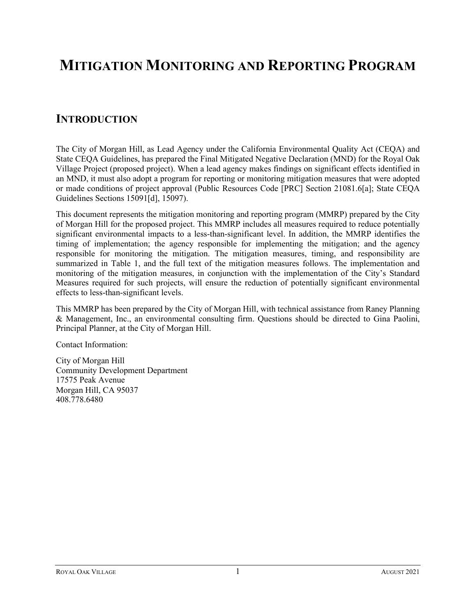# **MITIGATION MONITORING AND REPORTING PROGRAM**

## **INTRODUCTION**

The City of Morgan Hill, as Lead Agency under the California Environmental Quality Act (CEQA) and State CEQA Guidelines, has prepared the Final Mitigated Negative Declaration (MND) for the Royal Oak Village Project (proposed project). When a lead agency makes findings on significant effects identified in an MND, it must also adopt a program for reporting or monitoring mitigation measures that were adopted or made conditions of project approval (Public Resources Code [PRC] Section 21081.6[a]; State CEQA Guidelines Sections 15091[d], 15097).

This document represents the mitigation monitoring and reporting program (MMRP) prepared by the City of Morgan Hill for the proposed project. This MMRP includes all measures required to reduce potentially significant environmental impacts to a less-than-significant level. In addition, the MMRP identifies the timing of implementation; the agency responsible for implementing the mitigation; and the agency responsible for monitoring the mitigation. The mitigation measures, timing, and responsibility are summarized in Table 1, and the full text of the mitigation measures follows. The implementation and monitoring of the mitigation measures, in conjunction with the implementation of the City's Standard Measures required for such projects, will ensure the reduction of potentially significant environmental effects to less-than-significant levels.

This MMRP has been prepared by the City of Morgan Hill, with technical assistance from Raney Planning & Management, Inc., an environmental consulting firm. Questions should be directed to Gina Paolini, Principal Planner, at the City of Morgan Hill.

Contact Information:

City of Morgan Hill Community Development Department 17575 Peak Avenue Morgan Hill, CA 95037 408.778.6480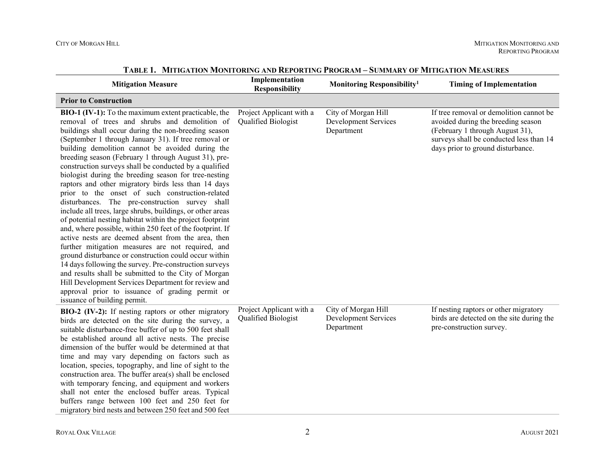| <b>Mitigation Measure</b>                                                                                                                                                                                                                                                                                                                                                                                                                                                                                                                                                                                                                                                                                                                                                                                                                                                                                                                                                                                                                                                                                                                                                                                                                 | Implementation<br><b>Responsibility</b>         | Monitoring Responsibility <sup>1</sup>                           | <b>Timing of Implementation</b>                                                                                                                                                                  |
|-------------------------------------------------------------------------------------------------------------------------------------------------------------------------------------------------------------------------------------------------------------------------------------------------------------------------------------------------------------------------------------------------------------------------------------------------------------------------------------------------------------------------------------------------------------------------------------------------------------------------------------------------------------------------------------------------------------------------------------------------------------------------------------------------------------------------------------------------------------------------------------------------------------------------------------------------------------------------------------------------------------------------------------------------------------------------------------------------------------------------------------------------------------------------------------------------------------------------------------------|-------------------------------------------------|------------------------------------------------------------------|--------------------------------------------------------------------------------------------------------------------------------------------------------------------------------------------------|
| <b>Prior to Construction</b>                                                                                                                                                                                                                                                                                                                                                                                                                                                                                                                                                                                                                                                                                                                                                                                                                                                                                                                                                                                                                                                                                                                                                                                                              |                                                 |                                                                  |                                                                                                                                                                                                  |
| BIO-1 (IV-1): To the maximum extent practicable, the<br>removal of trees and shrubs and demolition of<br>buildings shall occur during the non-breeding season<br>(September 1 through January 31). If tree removal or<br>building demolition cannot be avoided during the<br>breeding season (February 1 through August 31), pre-<br>construction surveys shall be conducted by a qualified<br>biologist during the breeding season for tree-nesting<br>raptors and other migratory birds less than 14 days<br>prior to the onset of such construction-related<br>disturbances. The pre-construction survey shall<br>include all trees, large shrubs, buildings, or other areas<br>of potential nesting habitat within the project footprint<br>and, where possible, within 250 feet of the footprint. If<br>active nests are deemed absent from the area, then<br>further mitigation measures are not required, and<br>ground disturbance or construction could occur within<br>14 days following the survey. Pre-construction surveys<br>and results shall be submitted to the City of Morgan<br>Hill Development Services Department for review and<br>approval prior to issuance of grading permit or<br>issuance of building permit. | Project Applicant with a<br>Qualified Biologist | City of Morgan Hill<br><b>Development Services</b><br>Department | If tree removal or demolition cannot be<br>avoided during the breeding season<br>(February 1 through August 31),<br>surveys shall be conducted less than 14<br>days prior to ground disturbance. |
| BIO-2 (IV-2): If nesting raptors or other migratory<br>birds are detected on the site during the survey, a<br>suitable disturbance-free buffer of up to 500 feet shall<br>be established around all active nests. The precise<br>dimension of the buffer would be determined at that<br>time and may vary depending on factors such as<br>location, species, topography, and line of sight to the<br>construction area. The buffer area(s) shall be enclosed<br>with temporary fencing, and equipment and workers<br>shall not enter the enclosed buffer areas. Typical<br>buffers range between 100 feet and 250 feet for<br>migratory bird nests and between 250 feet and 500 feet                                                                                                                                                                                                                                                                                                                                                                                                                                                                                                                                                      | Project Applicant with a<br>Qualified Biologist | City of Morgan Hill<br>Development Services<br>Department        | If nesting raptors or other migratory<br>birds are detected on the site during the<br>pre-construction survey.                                                                                   |

**TABLE 1. MITIGATION MONITORING AND REPORTING PROGRAM – SUMMARY OF MITIGATION MEASURES**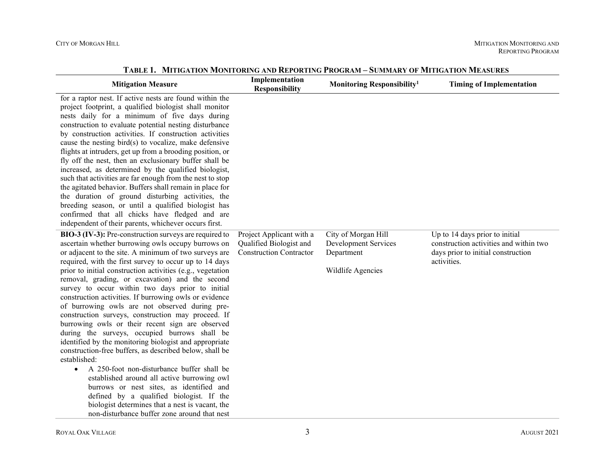| <b>Mitigation Measure</b>                                                                                                                                                                                                                                                                                                                                                                                                                                                                                                                                                                                                                                                                                                                                                                                                                                                                                                                                                                                                                                                                                             | Implementation<br><b>Responsibility</b>                                               | Monitoring Responsibility <sup>1</sup>                                         | <b>Timing of Implementation</b>                                                                                               |
|-----------------------------------------------------------------------------------------------------------------------------------------------------------------------------------------------------------------------------------------------------------------------------------------------------------------------------------------------------------------------------------------------------------------------------------------------------------------------------------------------------------------------------------------------------------------------------------------------------------------------------------------------------------------------------------------------------------------------------------------------------------------------------------------------------------------------------------------------------------------------------------------------------------------------------------------------------------------------------------------------------------------------------------------------------------------------------------------------------------------------|---------------------------------------------------------------------------------------|--------------------------------------------------------------------------------|-------------------------------------------------------------------------------------------------------------------------------|
| for a raptor nest. If active nests are found within the<br>project footprint, a qualified biologist shall monitor<br>nests daily for a minimum of five days during<br>construction to evaluate potential nesting disturbance<br>by construction activities. If construction activities<br>cause the nesting bird(s) to vocalize, make defensive<br>flights at intruders, get up from a brooding position, or<br>fly off the nest, then an exclusionary buffer shall be<br>increased, as determined by the qualified biologist,<br>such that activities are far enough from the nest to stop<br>the agitated behavior. Buffers shall remain in place for<br>the duration of ground disturbing activities, the<br>breeding season, or until a qualified biologist has<br>confirmed that all chicks have fledged and are<br>independent of their parents, whichever occurs first.                                                                                                                                                                                                                                        |                                                                                       |                                                                                |                                                                                                                               |
| BIO-3 (IV-3): Pre-construction surveys are required to<br>ascertain whether burrowing owls occupy burrows on<br>or adjacent to the site. A minimum of two surveys are<br>required, with the first survey to occur up to 14 days<br>prior to initial construction activities (e.g., vegetation<br>removal, grading, or excavation) and the second<br>survey to occur within two days prior to initial<br>construction activities. If burrowing owls or evidence<br>of burrowing owls are not observed during pre-<br>construction surveys, construction may proceed. If<br>burrowing owls or their recent sign are observed<br>during the surveys, occupied burrows shall be<br>identified by the monitoring biologist and appropriate<br>construction-free buffers, as described below, shall be<br>established:<br>A 250-foot non-disturbance buffer shall be<br>$\bullet$<br>established around all active burrowing owl<br>burrows or nest sites, as identified and<br>defined by a qualified biologist. If the<br>biologist determines that a nest is vacant, the<br>non-disturbance buffer zone around that nest | Project Applicant with a<br>Qualified Biologist and<br><b>Construction Contractor</b> | City of Morgan Hill<br>Development Services<br>Department<br>Wildlife Agencies | Up to 14 days prior to initial<br>construction activities and within two<br>days prior to initial construction<br>activities. |

**TABLE 1. MITIGATION MONITORING AND REPORTING PROGRAM – SUMMARY OF MITIGATION MEASURES**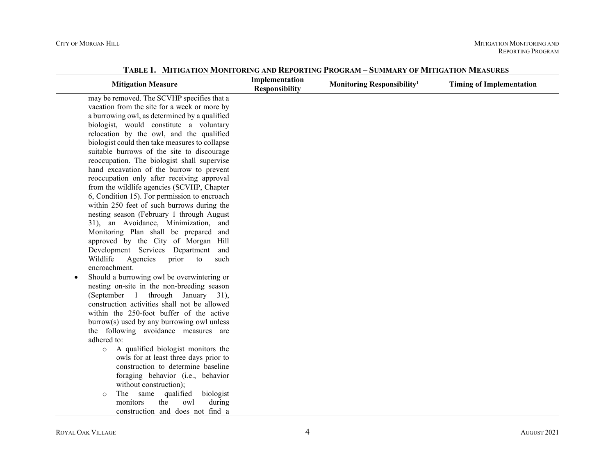|           | <b>Mitigation Measure</b>                      | Implementation<br><b>Responsibility</b> | Monitoring Responsibility <sup>1</sup> | <b>Timing of Implementation</b> |
|-----------|------------------------------------------------|-----------------------------------------|----------------------------------------|---------------------------------|
|           | may be removed. The SCVHP specifies that a     |                                         |                                        |                                 |
|           | vacation from the site for a week or more by   |                                         |                                        |                                 |
|           | a burrowing owl, as determined by a qualified  |                                         |                                        |                                 |
|           | biologist, would constitute a voluntary        |                                         |                                        |                                 |
|           | relocation by the owl, and the qualified       |                                         |                                        |                                 |
|           | biologist could then take measures to collapse |                                         |                                        |                                 |
|           | suitable burrows of the site to discourage     |                                         |                                        |                                 |
|           | reoccupation. The biologist shall supervise    |                                         |                                        |                                 |
|           | hand excavation of the burrow to prevent       |                                         |                                        |                                 |
|           | reoccupation only after receiving approval     |                                         |                                        |                                 |
|           | from the wildlife agencies (SCVHP, Chapter     |                                         |                                        |                                 |
|           | 6, Condition 15). For permission to encroach   |                                         |                                        |                                 |
|           | within 250 feet of such burrows during the     |                                         |                                        |                                 |
|           | nesting season (February 1 through August      |                                         |                                        |                                 |
|           | 31), an Avoidance, Minimization, and           |                                         |                                        |                                 |
|           | Monitoring Plan shall be prepared and          |                                         |                                        |                                 |
|           | approved by the City of Morgan Hill            |                                         |                                        |                                 |
|           | Development Services Department and            |                                         |                                        |                                 |
|           | Agencies<br>Wildlife<br>prior<br>to<br>such    |                                         |                                        |                                 |
|           | encroachment.                                  |                                         |                                        |                                 |
| $\bullet$ | Should a burrowing owl be overwintering or     |                                         |                                        |                                 |
|           | nesting on-site in the non-breeding season     |                                         |                                        |                                 |
|           | (September 1 through January 31),              |                                         |                                        |                                 |
|           | construction activities shall not be allowed   |                                         |                                        |                                 |
|           | within the 250-foot buffer of the active       |                                         |                                        |                                 |
|           | burrow(s) used by any burrowing owl unless     |                                         |                                        |                                 |
|           | the following avoidance measures are           |                                         |                                        |                                 |
|           | adhered to:                                    |                                         |                                        |                                 |
|           | A qualified biologist monitors the<br>$\circ$  |                                         |                                        |                                 |
|           | owls for at least three days prior to          |                                         |                                        |                                 |
|           | construction to determine baseline             |                                         |                                        |                                 |
|           | foraging behavior (i.e., behavior              |                                         |                                        |                                 |
|           | without construction);                         |                                         |                                        |                                 |
|           | The same qualified<br>biologist<br>$\circ$     |                                         |                                        |                                 |
|           | monitors<br>the<br>owl<br>during               |                                         |                                        |                                 |
|           | construction and does not find a               |                                         |                                        |                                 |

**TABLE 1. MITIGATION MONITORING AND REPORTING PROGRAM – SUMMARY OF MITIGATION MEASURES**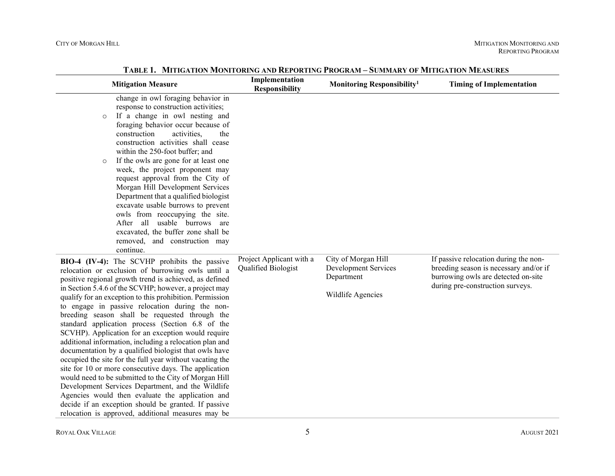| <b>Mitigation Measure</b>                                                                                                                                                                                                                                                                                                                                                                                                                                                                                                                                                                                                                                                                                                                                                                                                                                                                                                                                                                                                 | Implementation<br><b>Responsibility</b>         | Monitoring Responsibility <sup>1</sup>                                         | <b>Timing of Implementation</b>                                                                                                                            |
|---------------------------------------------------------------------------------------------------------------------------------------------------------------------------------------------------------------------------------------------------------------------------------------------------------------------------------------------------------------------------------------------------------------------------------------------------------------------------------------------------------------------------------------------------------------------------------------------------------------------------------------------------------------------------------------------------------------------------------------------------------------------------------------------------------------------------------------------------------------------------------------------------------------------------------------------------------------------------------------------------------------------------|-------------------------------------------------|--------------------------------------------------------------------------------|------------------------------------------------------------------------------------------------------------------------------------------------------------|
| change in owl foraging behavior in<br>response to construction activities;<br>If a change in owl nesting and<br>$\circ$<br>foraging behavior occur because of<br>construction<br>activities,<br>the<br>construction activities shall cease<br>within the 250-foot buffer; and<br>If the owls are gone for at least one<br>$\circ$<br>week, the project proponent may<br>request approval from the City of<br>Morgan Hill Development Services<br>Department that a qualified biologist<br>excavate usable burrows to prevent<br>owls from reoccupying the site.<br>After all usable burrows are<br>excavated, the buffer zone shall be<br>removed, and construction may<br>continue.                                                                                                                                                                                                                                                                                                                                      |                                                 |                                                                                |                                                                                                                                                            |
| BIO-4 (IV-4): The SCVHP prohibits the passive<br>relocation or exclusion of burrowing owls until a<br>positive regional growth trend is achieved, as defined<br>in Section 5.4.6 of the SCVHP; however, a project may<br>qualify for an exception to this prohibition. Permission<br>to engage in passive relocation during the non-<br>breeding season shall be requested through the<br>standard application process (Section 6.8 of the<br>SCVHP). Application for an exception would require<br>additional information, including a relocation plan and<br>documentation by a qualified biologist that owls have<br>occupied the site for the full year without vacating the<br>site for 10 or more consecutive days. The application<br>would need to be submitted to the City of Morgan Hill<br>Development Services Department, and the Wildlife<br>Agencies would then evaluate the application and<br>decide if an exception should be granted. If passive<br>relocation is approved, additional measures may be | Project Applicant with a<br>Qualified Biologist | City of Morgan Hill<br>Development Services<br>Department<br>Wildlife Agencies | If passive relocation during the non-<br>breeding season is necessary and/or if<br>burrowing owls are detected on-site<br>during pre-construction surveys. |

**TABLE 1. MITIGATION MONITORING AND REPORTING PROGRAM – SUMMARY OF MITIGATION MEASURES**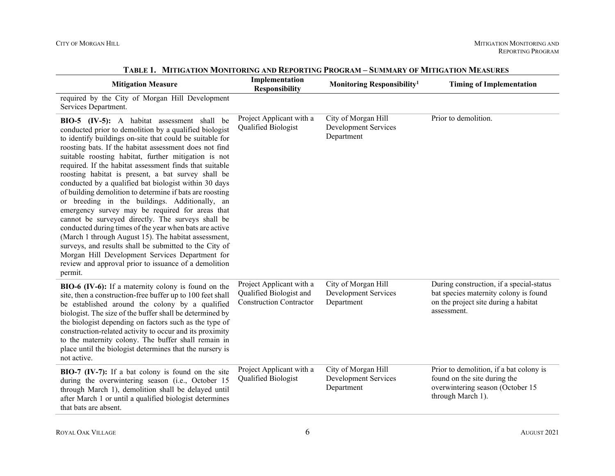| <b>Mitigation Measure</b>                                                                                                                                                                                                                                                                                                                                                                                                                                                                                                                                                                                                                                                                                                                                                                                                                                                                                                                                                               | Implementation<br><b>Responsibility</b>                                               | Monitoring Responsibility <sup>1</sup>                           | <b>Timing of Implementation</b>                                                                                                          |
|-----------------------------------------------------------------------------------------------------------------------------------------------------------------------------------------------------------------------------------------------------------------------------------------------------------------------------------------------------------------------------------------------------------------------------------------------------------------------------------------------------------------------------------------------------------------------------------------------------------------------------------------------------------------------------------------------------------------------------------------------------------------------------------------------------------------------------------------------------------------------------------------------------------------------------------------------------------------------------------------|---------------------------------------------------------------------------------------|------------------------------------------------------------------|------------------------------------------------------------------------------------------------------------------------------------------|
| required by the City of Morgan Hill Development<br>Services Department.                                                                                                                                                                                                                                                                                                                                                                                                                                                                                                                                                                                                                                                                                                                                                                                                                                                                                                                 |                                                                                       |                                                                  |                                                                                                                                          |
| BIO-5 (IV-5): A habitat assessment shall be<br>conducted prior to demolition by a qualified biologist<br>to identify buildings on-site that could be suitable for<br>roosting bats. If the habitat assessment does not find<br>suitable roosting habitat, further mitigation is not<br>required. If the habitat assessment finds that suitable<br>roosting habitat is present, a bat survey shall be<br>conducted by a qualified bat biologist within 30 days<br>of building demolition to determine if bats are roosting<br>or breeding in the buildings. Additionally, an<br>emergency survey may be required for areas that<br>cannot be surveyed directly. The surveys shall be<br>conducted during times of the year when bats are active<br>(March 1 through August 15). The habitat assessment,<br>surveys, and results shall be submitted to the City of<br>Morgan Hill Development Services Department for<br>review and approval prior to issuance of a demolition<br>permit. | Project Applicant with a<br>Qualified Biologist                                       | City of Morgan Hill<br>Development Services<br>Department        | Prior to demolition.                                                                                                                     |
| BIO-6 (IV-6): If a maternity colony is found on the<br>site, then a construction-free buffer up to 100 feet shall<br>be established around the colony by a qualified<br>biologist. The size of the buffer shall be determined by<br>the biologist depending on factors such as the type of<br>construction-related activity to occur and its proximity<br>to the maternity colony. The buffer shall remain in<br>place until the biologist determines that the nursery is<br>not active.                                                                                                                                                                                                                                                                                                                                                                                                                                                                                                | Project Applicant with a<br>Qualified Biologist and<br><b>Construction Contractor</b> | City of Morgan Hill<br><b>Development Services</b><br>Department | During construction, if a special-status<br>bat species maternity colony is found<br>on the project site during a habitat<br>assessment. |
| BIO-7 (IV-7): If a bat colony is found on the site<br>during the overwintering season (i.e., October 15<br>through March 1), demolition shall be delayed until<br>after March 1 or until a qualified biologist determines<br>that bats are absent.                                                                                                                                                                                                                                                                                                                                                                                                                                                                                                                                                                                                                                                                                                                                      | Project Applicant with a<br>Qualified Biologist                                       | City of Morgan Hill<br>Development Services<br>Department        | Prior to demolition, if a bat colony is<br>found on the site during the<br>overwintering season (October 15<br>through March 1).         |

**TABLE 1. MITIGATION MONITORING AND REPORTING PROGRAM – SUMMARY OF MITIGATION MEASURES**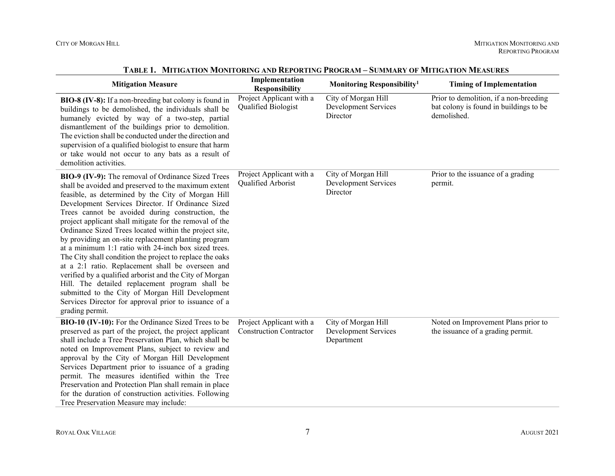| <b>Mitigation Measure</b>                                                                                                                                                                                                                                                                                                                                                                                                                                                                                                                                                                                                                                                                                                                                                                                                                                                     | Implementation<br><b>Responsibility</b>                    | Monitoring Responsibility <sup>1</sup>                    | <b>Timing of Implementation</b>                                                                 |
|-------------------------------------------------------------------------------------------------------------------------------------------------------------------------------------------------------------------------------------------------------------------------------------------------------------------------------------------------------------------------------------------------------------------------------------------------------------------------------------------------------------------------------------------------------------------------------------------------------------------------------------------------------------------------------------------------------------------------------------------------------------------------------------------------------------------------------------------------------------------------------|------------------------------------------------------------|-----------------------------------------------------------|-------------------------------------------------------------------------------------------------|
| BIO-8 (IV-8): If a non-breeding bat colony is found in<br>buildings to be demolished, the individuals shall be<br>humanely evicted by way of a two-step, partial<br>dismantlement of the buildings prior to demolition.<br>The eviction shall be conducted under the direction and<br>supervision of a qualified biologist to ensure that harm<br>or take would not occur to any bats as a result of<br>demolition activities.                                                                                                                                                                                                                                                                                                                                                                                                                                                | Project Applicant with a<br>Qualified Biologist            | City of Morgan Hill<br>Development Services<br>Director   | Prior to demolition, if a non-breeding<br>bat colony is found in buildings to be<br>demolished. |
| BIO-9 (IV-9): The removal of Ordinance Sized Trees<br>shall be avoided and preserved to the maximum extent<br>feasible, as determined by the City of Morgan Hill<br>Development Services Director. If Ordinance Sized<br>Trees cannot be avoided during construction, the<br>project applicant shall mitigate for the removal of the<br>Ordinance Sized Trees located within the project site,<br>by providing an on-site replacement planting program<br>at a minimum 1:1 ratio with 24-inch box sized trees.<br>The City shall condition the project to replace the oaks<br>at a 2:1 ratio. Replacement shall be overseen and<br>verified by a qualified arborist and the City of Morgan<br>Hill. The detailed replacement program shall be<br>submitted to the City of Morgan Hill Development<br>Services Director for approval prior to issuance of a<br>grading permit. | Project Applicant with a<br>Qualified Arborist             | City of Morgan Hill<br>Development Services<br>Director   | Prior to the issuance of a grading<br>permit.                                                   |
| BIO-10 (IV-10): For the Ordinance Sized Trees to be<br>preserved as part of the project, the project applicant<br>shall include a Tree Preservation Plan, which shall be<br>noted on Improvement Plans, subject to review and<br>approval by the City of Morgan Hill Development<br>Services Department prior to issuance of a grading<br>permit. The measures identified within the Tree<br>Preservation and Protection Plan shall remain in place<br>for the duration of construction activities. Following<br>Tree Preservation Measure may include:                                                                                                                                                                                                                                                                                                                       | Project Applicant with a<br><b>Construction Contractor</b> | City of Morgan Hill<br>Development Services<br>Department | Noted on Improvement Plans prior to<br>the issuance of a grading permit.                        |

**TABLE 1. MITIGATION MONITORING AND REPORTING PROGRAM – SUMMARY OF MITIGATION MEASURES**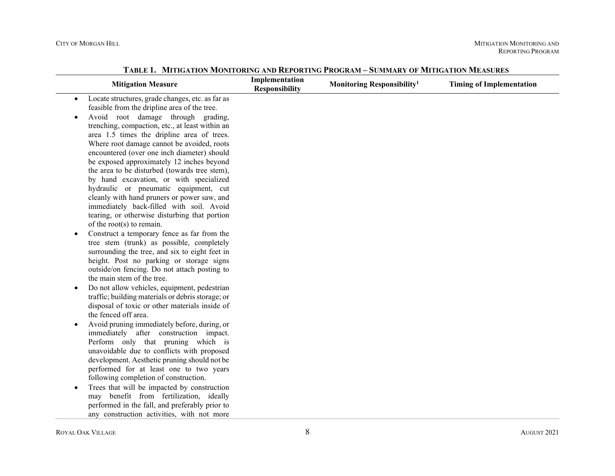| <b>Mitigation Measure</b>                                                                                                                                                                                                                                                                                                                                                                                                                                                                                                                                                                                                                                                       | Implementation<br><b>Responsibility</b> | Monitoring Responsibility <sup>1</sup> | <b>Timing of Implementation</b> |
|---------------------------------------------------------------------------------------------------------------------------------------------------------------------------------------------------------------------------------------------------------------------------------------------------------------------------------------------------------------------------------------------------------------------------------------------------------------------------------------------------------------------------------------------------------------------------------------------------------------------------------------------------------------------------------|-----------------------------------------|----------------------------------------|---------------------------------|
| Locate structures, grade changes, etc. as far as<br>$\bullet$<br>feasible from the dripline area of the tree.<br>Avoid root damage through grading,<br>trenching, compaction, etc., at least within an<br>area 1.5 times the dripline area of trees.<br>Where root damage cannot be avoided, roots<br>encountered (over one inch diameter) should<br>be exposed approximately 12 inches beyond<br>the area to be disturbed (towards tree stem),<br>by hand excavation, or with specialized<br>hydraulic or pneumatic equipment, cut<br>cleanly with hand pruners or power saw, and<br>immediately back-filled with soil. Avoid<br>tearing, or otherwise disturbing that portion |                                         |                                        |                                 |
| of the root(s) to remain.<br>Construct a temporary fence as far from the<br>$\bullet$<br>tree stem (trunk) as possible, completely<br>surrounding the tree, and six to eight feet in<br>height. Post no parking or storage signs<br>outside/on fencing. Do not attach posting to<br>the main stem of the tree.<br>Do not allow vehicles, equipment, pedestrian<br>$\bullet$<br>traffic; building materials or debris storage; or<br>disposal of toxic or other materials inside of<br>the fenced off area.<br>Avoid pruning immediately before, during, or<br>immediately after construction impact.                                                                            |                                         |                                        |                                 |
| Perform only that pruning which is<br>unavoidable due to conflicts with proposed<br>development. Aesthetic pruning should not be<br>performed for at least one to two years<br>following completion of construction.<br>Trees that will be impacted by construction<br>$\bullet$<br>may benefit from fertilization, ideally<br>performed in the fall, and preferably prior to<br>any construction activities, with not more                                                                                                                                                                                                                                                     |                                         |                                        |                                 |

**TABLE 1. MITIGATION MONITORING AND REPORTING PROGRAM – SUMMARY OF MITIGATION MEASURES**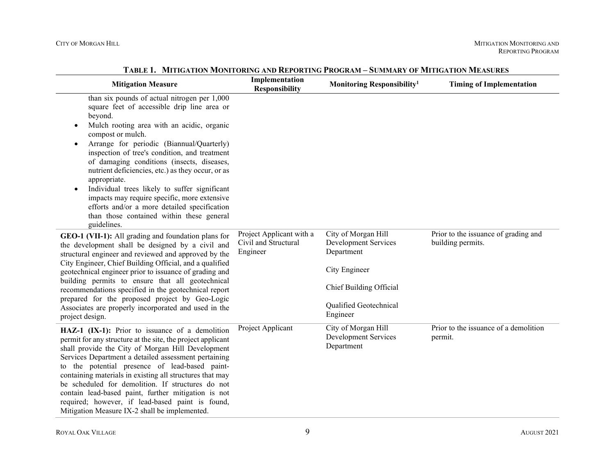| <b>Mitigation Measure</b>                                                                                                                                                                                                                                                                                                                                                                                                                                                                                                                                                                                                         | Implementation<br><b>Responsibility</b>                      | Monitoring Responsibility <sup>1</sup>                                                                                                      | <b>Timing of Implementation</b>                           |
|-----------------------------------------------------------------------------------------------------------------------------------------------------------------------------------------------------------------------------------------------------------------------------------------------------------------------------------------------------------------------------------------------------------------------------------------------------------------------------------------------------------------------------------------------------------------------------------------------------------------------------------|--------------------------------------------------------------|---------------------------------------------------------------------------------------------------------------------------------------------|-----------------------------------------------------------|
| than six pounds of actual nitrogen per 1,000<br>square feet of accessible drip line area or<br>beyond.<br>Mulch rooting area with an acidic, organic<br>$\bullet$<br>compost or mulch.<br>Arrange for periodic (Biannual/Quarterly)<br>inspection of tree's condition, and treatment<br>of damaging conditions (insects, diseases,<br>nutrient deficiencies, etc.) as they occur, or as<br>appropriate.<br>Individual trees likely to suffer significant<br>$\bullet$<br>impacts may require specific, more extensive<br>efforts and/or a more detailed specification<br>than those contained within these general<br>guidelines. |                                                              |                                                                                                                                             |                                                           |
| GEO-1 (VII-1): All grading and foundation plans for<br>the development shall be designed by a civil and<br>structural engineer and reviewed and approved by the<br>City Engineer, Chief Building Official, and a qualified<br>geotechnical engineer prior to issuance of grading and<br>building permits to ensure that all geotechnical<br>recommendations specified in the geotechnical report<br>prepared for the proposed project by Geo-Logic<br>Associates are properly incorporated and used in the<br>project design.                                                                                                     | Project Applicant with a<br>Civil and Structural<br>Engineer | City of Morgan Hill<br>Development Services<br>Department<br>City Engineer<br>Chief Building Official<br>Qualified Geotechnical<br>Engineer | Prior to the issuance of grading and<br>building permits. |
| HAZ-1 (IX-1): Prior to issuance of a demolition<br>permit for any structure at the site, the project applicant<br>shall provide the City of Morgan Hill Development<br>Services Department a detailed assessment pertaining<br>to the potential presence of lead-based paint-<br>containing materials in existing all structures that may<br>be scheduled for demolition. If structures do not<br>contain lead-based paint, further mitigation is not<br>required; however, if lead-based paint is found,<br>Mitigation Measure IX-2 shall be implemented.                                                                        | Project Applicant                                            | City of Morgan Hill<br>Development Services<br>Department                                                                                   | Prior to the issuance of a demolition<br>permit.          |

**TABLE 1. MITIGATION MONITORING AND REPORTING PROGRAM – SUMMARY OF MITIGATION MEASURES**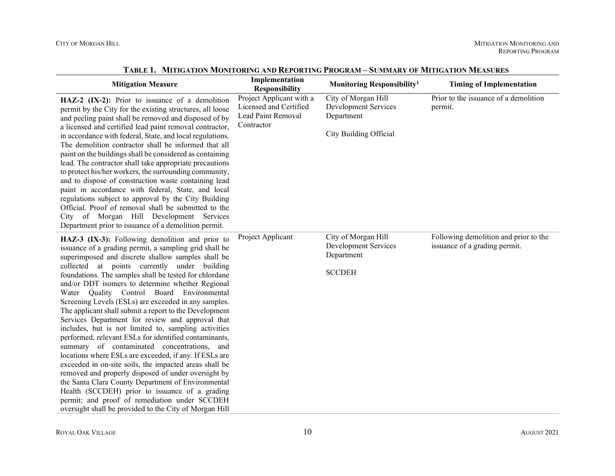| <b>Mitigation Measure</b>                                                                                                                                                                                                                                                                                                                                                                                                                                                                                                                                                                                                                                                                                                                                                                                                                                                                                                                                                                                                                                                                                         | Implementation<br><b>Responsibility</b>                                                | Monitoring Responsibility <sup>1</sup>                                                     | <b>Timing of Implementation</b>                                        |
|-------------------------------------------------------------------------------------------------------------------------------------------------------------------------------------------------------------------------------------------------------------------------------------------------------------------------------------------------------------------------------------------------------------------------------------------------------------------------------------------------------------------------------------------------------------------------------------------------------------------------------------------------------------------------------------------------------------------------------------------------------------------------------------------------------------------------------------------------------------------------------------------------------------------------------------------------------------------------------------------------------------------------------------------------------------------------------------------------------------------|----------------------------------------------------------------------------------------|--------------------------------------------------------------------------------------------|------------------------------------------------------------------------|
| HAZ-2 (IX-2): Prior to issuance of a demolition<br>permit by the City for the existing structures, all loose<br>and peeling paint shall be removed and disposed of by<br>a licensed and certified lead paint removal contractor,<br>in accordance with federal, State, and local regulations.<br>The demolition contractor shall be informed that all<br>paint on the buildings shall be considered as containing<br>lead. The contractor shall take appropriate precautions<br>to protect his/her workers, the surrounding community,<br>and to dispose of construction waste containing lead<br>paint in accordance with federal, State, and local<br>regulations subject to approval by the City Building<br>Official. Proof of removal shall be submitted to the<br>City of Morgan Hill Development Services<br>Department prior to issuance of a demolition permit.                                                                                                                                                                                                                                          | Project Applicant with a<br>Licensed and Certified<br>Lead Paint Removal<br>Contractor | City of Morgan Hill<br>Development Services<br>Department<br><b>City Building Official</b> | Prior to the issuance of a demolition<br>permit.                       |
| HAZ-3 (IX-3): Following demolition and prior to<br>issuance of a grading permit, a sampling grid shall be<br>superimposed and discrete shallow samples shall be<br>collected at points currently under building<br>foundations. The samples shall be tested for chlordane<br>and/or DDT isomers to determine whether Regional<br>Quality Control Board Environmental<br>Water<br>Screening Levels (ESLs) are exceeded in any samples.<br>The applicant shall submit a report to the Development<br>Services Department for review and approval that<br>includes, but is not limited to, sampling activities<br>performed, relevant ESLs for identified contaminants,<br>summary of contaminated concentrations, and<br>locations where ESLs are exceeded, if any. If ESLs are<br>exceeded in on-site soils, the impacted areas shall be<br>removed and properly disposed of under oversight by<br>the Santa Clara County Department of Environmental<br>Health (SCCDEH) prior to issuance of a grading<br>permit; and proof of remediation under SCCDEH<br>oversight shall be provided to the City of Morgan Hill | Project Applicant                                                                      | City of Morgan Hill<br>Development Services<br>Department<br><b>SCCDEH</b>                 | Following demolition and prior to the<br>issuance of a grading permit. |

**TABLE 1. MITIGATION MONITORING AND REPORTING PROGRAM – SUMMARY OF MITIGATION MEASURES**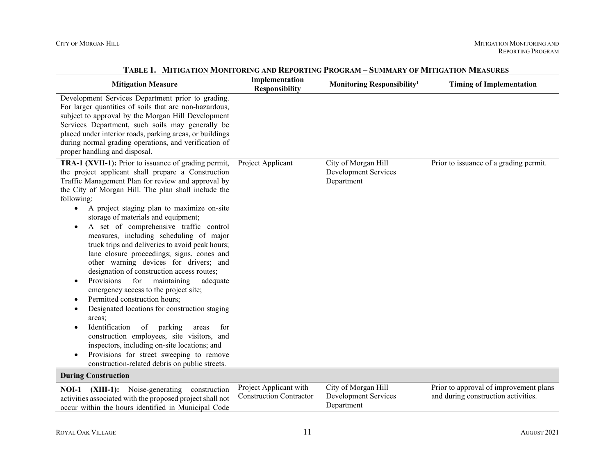|                                                                                                                                                                                                                                                                                                                                                                                                                                                                                                                                                                                                                                                                                                                                                                                                                                                                                                                                                                                                                                                                                                               | <b>IN THE DISTURBANCE OF THE UNITED STATES IN THE UNITED</b> |                                                           | <b>SUMMANI OF MILLIOATION MILASURE</b>                                        |
|---------------------------------------------------------------------------------------------------------------------------------------------------------------------------------------------------------------------------------------------------------------------------------------------------------------------------------------------------------------------------------------------------------------------------------------------------------------------------------------------------------------------------------------------------------------------------------------------------------------------------------------------------------------------------------------------------------------------------------------------------------------------------------------------------------------------------------------------------------------------------------------------------------------------------------------------------------------------------------------------------------------------------------------------------------------------------------------------------------------|--------------------------------------------------------------|-----------------------------------------------------------|-------------------------------------------------------------------------------|
| <b>Mitigation Measure</b>                                                                                                                                                                                                                                                                                                                                                                                                                                                                                                                                                                                                                                                                                                                                                                                                                                                                                                                                                                                                                                                                                     | Implementation<br><b>Responsibility</b>                      | Monitoring Responsibility <sup>1</sup>                    | <b>Timing of Implementation</b>                                               |
| Development Services Department prior to grading.<br>For larger quantities of soils that are non-hazardous,<br>subject to approval by the Morgan Hill Development<br>Services Department, such soils may generally be<br>placed under interior roads, parking areas, or buildings<br>during normal grading operations, and verification of<br>proper handling and disposal.                                                                                                                                                                                                                                                                                                                                                                                                                                                                                                                                                                                                                                                                                                                                   |                                                              |                                                           |                                                                               |
| TRA-1 (XVII-1): Prior to issuance of grading permit,<br>the project applicant shall prepare a Construction<br>Traffic Management Plan for review and approval by<br>the City of Morgan Hill. The plan shall include the<br>following:<br>A project staging plan to maximize on-site<br>$\bullet$<br>storage of materials and equipment;<br>A set of comprehensive traffic control<br>$\bullet$<br>measures, including scheduling of major<br>truck trips and deliveries to avoid peak hours;<br>lane closure proceedings; signs, cones and<br>other warning devices for drivers; and<br>designation of construction access routes;<br>Provisions<br>for<br>maintaining<br>adequate<br>$\bullet$<br>emergency access to the project site;<br>Permitted construction hours;<br>$\bullet$<br>Designated locations for construction staging<br>areas;<br>Identification<br>of<br>parking<br>for<br>areas<br>construction employees, site visitors, and<br>inspectors, including on-site locations; and<br>Provisions for street sweeping to remove<br>$\bullet$<br>construction-related debris on public streets. | Project Applicant                                            | City of Morgan Hill<br>Development Services<br>Department | Prior to issuance of a grading permit.                                        |
| <b>During Construction</b>                                                                                                                                                                                                                                                                                                                                                                                                                                                                                                                                                                                                                                                                                                                                                                                                                                                                                                                                                                                                                                                                                    |                                                              |                                                           |                                                                               |
| NOI-1 (XIII-1): Noise-generating<br>construction<br>activities associated with the proposed project shall not<br>occur within the hours identified in Municipal Code                                                                                                                                                                                                                                                                                                                                                                                                                                                                                                                                                                                                                                                                                                                                                                                                                                                                                                                                          | Project Applicant with<br><b>Construction Contractor</b>     | City of Morgan Hill<br>Development Services<br>Department | Prior to approval of improvement plans<br>and during construction activities. |

**TABLE 1. MITIGATION MONITORING AND REPORTING PROGRAM – SUMMARY OF MITIGATION MEASURES**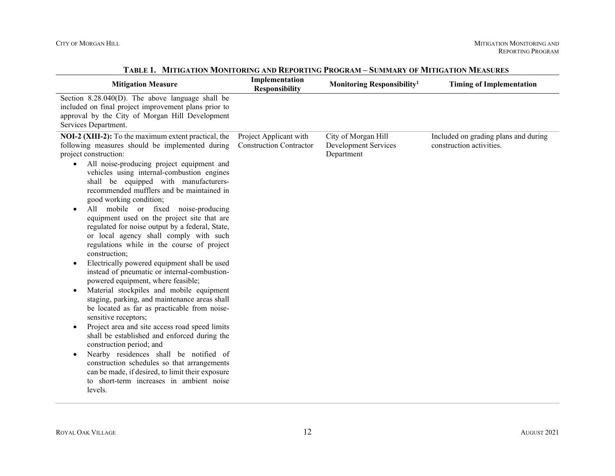| <b>Mitigation Measure</b>                                                                                                                                                                                                                                                                                                                                                                                                                                                                                                                                                                                                                                                                                                                                                                                                                                                                                                                                                                                                                                                                                                                                                                                                                                                                                                 | Implementation<br><b>Responsibility</b>                  | Monitoring Responsibility <sup>1</sup>                    | <b>Timing of Implementation</b>                                  |
|---------------------------------------------------------------------------------------------------------------------------------------------------------------------------------------------------------------------------------------------------------------------------------------------------------------------------------------------------------------------------------------------------------------------------------------------------------------------------------------------------------------------------------------------------------------------------------------------------------------------------------------------------------------------------------------------------------------------------------------------------------------------------------------------------------------------------------------------------------------------------------------------------------------------------------------------------------------------------------------------------------------------------------------------------------------------------------------------------------------------------------------------------------------------------------------------------------------------------------------------------------------------------------------------------------------------------|----------------------------------------------------------|-----------------------------------------------------------|------------------------------------------------------------------|
| Section $8.28.040(D)$ . The above language shall be<br>included on final project improvement plans prior to<br>approval by the City of Morgan Hill Development<br>Services Department.                                                                                                                                                                                                                                                                                                                                                                                                                                                                                                                                                                                                                                                                                                                                                                                                                                                                                                                                                                                                                                                                                                                                    |                                                          |                                                           |                                                                  |
| NOI-2 (XIII-2): To the maximum extent practical, the<br>following measures should be implemented during<br>project construction:<br>All noise-producing project equipment and<br>$\bullet$<br>vehicles using internal-combustion engines<br>shall be equipped with manufacturers-<br>recommended mufflers and be maintained in<br>good working condition;<br>All mobile or fixed noise-producing<br>$\bullet$<br>equipment used on the project site that are<br>regulated for noise output by a federal, State,<br>or local agency shall comply with such<br>regulations while in the course of project<br>construction;<br>Electrically powered equipment shall be used<br>$\bullet$<br>instead of pneumatic or internal-combustion-<br>powered equipment, where feasible;<br>Material stockpiles and mobile equipment<br>$\bullet$<br>staging, parking, and maintenance areas shall<br>be located as far as practicable from noise-<br>sensitive receptors;<br>Project area and site access road speed limits<br>$\bullet$<br>shall be established and enforced during the<br>construction period; and<br>Nearby residences shall be notified of<br>$\bullet$<br>construction schedules so that arrangements<br>can be made, if desired, to limit their exposure<br>to short-term increases in ambient noise<br>levels. | Project Applicant with<br><b>Construction Contractor</b> | City of Morgan Hill<br>Development Services<br>Department | Included on grading plans and during<br>construction activities. |

### **TABLE 1. MITIGATION MONITORING AND REPORTING PROGRAM – SUMMARY OF MITIGATION MEASURES**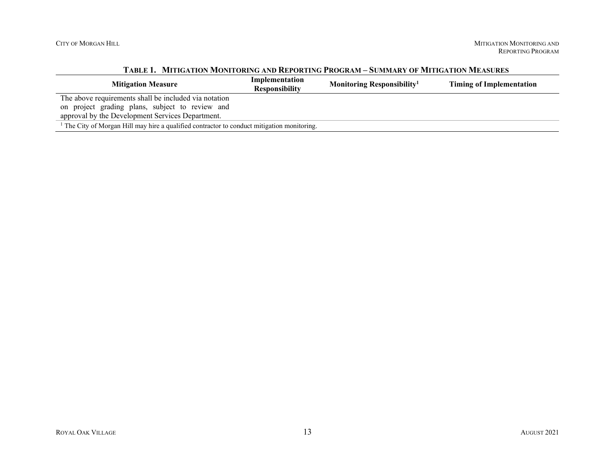|                                                                                           | TABLE 1. - MITINATION MONTONING AND INEFORTING I INOGRAM – SOMMAIN I OF MITINATION MEASONES |                                        |                                 |  |  |
|-------------------------------------------------------------------------------------------|---------------------------------------------------------------------------------------------|----------------------------------------|---------------------------------|--|--|
| <b>Mitigation Measure</b>                                                                 | Implementation<br><b>Responsibility</b>                                                     | Monitoring Responsibility <sup>1</sup> | <b>Timing of Implementation</b> |  |  |
| The above requirements shall be included via notation                                     |                                                                                             |                                        |                                 |  |  |
| on project grading plans, subject to review and                                           |                                                                                             |                                        |                                 |  |  |
| approval by the Development Services Department.                                          |                                                                                             |                                        |                                 |  |  |
| The City of Morgan Hill may hire a qualified contractor to conduct mitigation monitoring. |                                                                                             |                                        |                                 |  |  |

### **TABLE 1. MITIGATION MONITORING AND REPORTING PROGRAM – SUMMARY OF MITIGATION MEASURES**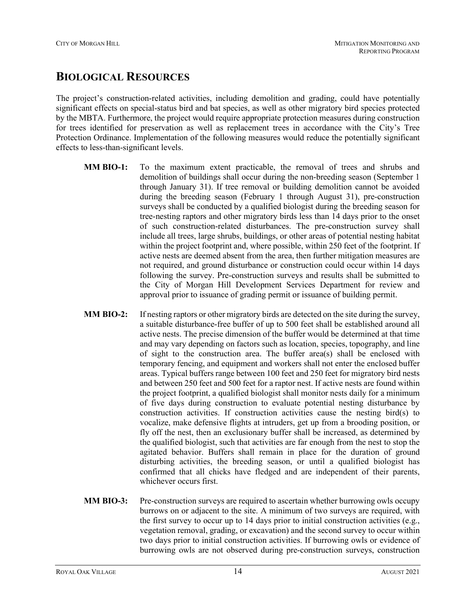# **BIOLOGICAL RESOURCES**

The project's construction-related activities, including demolition and grading, could have potentially significant effects on special-status bird and bat species, as well as other migratory bird species protected by the MBTA. Furthermore, the project would require appropriate protection measures during construction for trees identified for preservation as well as replacement trees in accordance with the City's Tree Protection Ordinance. Implementation of the following measures would reduce the potentially significant effects to less-than-significant levels.

- **MM BIO-1:** To the maximum extent practicable, the removal of trees and shrubs and demolition of buildings shall occur during the non‐breeding season (September 1 through January 31). If tree removal or building demolition cannot be avoided during the breeding season (February 1 through August 31), pre-construction surveys shall be conducted by a qualified biologist during the breeding season for tree‐nesting raptors and other migratory birds less than 14 days prior to the onset of such construction‐related disturbances. The pre‐construction survey shall include all trees, large shrubs, buildings, or other areas of potential nesting habitat within the project footprint and, where possible, within 250 feet of the footprint. If active nests are deemed absent from the area, then further mitigation measures are not required, and ground disturbance or construction could occur within 14 days following the survey. Pre-construction surveys and results shall be submitted to the City of Morgan Hill Development Services Department for review and approval prior to issuance of grading permit or issuance of building permit.
- **MM BIO-2:** If nesting raptors or other migratory birds are detected on the site during the survey, a suitable disturbance‐free buffer of up to 500 feet shall be established around all active nests. The precise dimension of the buffer would be determined at that time and may vary depending on factors such as location, species, topography, and line of sight to the construction area. The buffer area(s) shall be enclosed with temporary fencing, and equipment and workers shall not enter the enclosed buffer areas. Typical buffers range between 100 feet and 250 feet for migratory bird nests and between 250 feet and 500 feet for a raptor nest. If active nests are found within the project footprint, a qualified biologist shall monitor nests daily for a minimum of five days during construction to evaluate potential nesting disturbance by construction activities. If construction activities cause the nesting bird(s) to vocalize, make defensive flights at intruders, get up from a brooding position, or fly off the nest, then an exclusionary buffer shall be increased, as determined by the qualified biologist, such that activities are far enough from the nest to stop the agitated behavior. Buffers shall remain in place for the duration of ground disturbing activities, the breeding season, or until a qualified biologist has confirmed that all chicks have fledged and are independent of their parents, whichever occurs first.
- **MM BIO-3:** Pre-construction surveys are required to ascertain whether burrowing owls occupy burrows on or adjacent to the site. A minimum of two surveys are required, with the first survey to occur up to 14 days prior to initial construction activities (e.g., vegetation removal, grading, or excavation) and the second survey to occur within two days prior to initial construction activities. If burrowing owls or evidence of burrowing owls are not observed during pre‐construction surveys, construction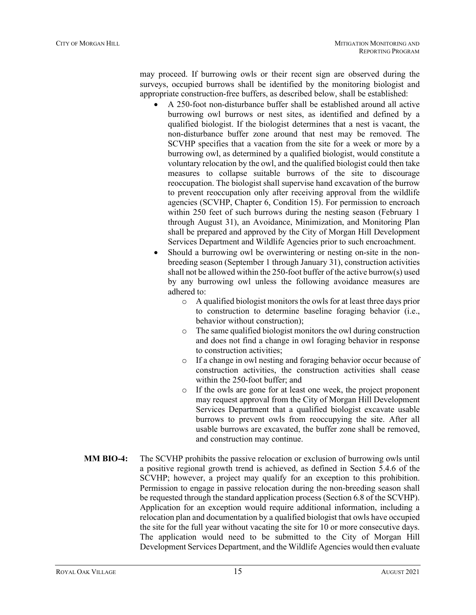may proceed. If burrowing owls or their recent sign are observed during the surveys, occupied burrows shall be identified by the monitoring biologist and appropriate construction‐free buffers, as described below, shall be established:

- A 250‐foot non‐disturbance buffer shall be established around all active burrowing owl burrows or nest sites, as identified and defined by a qualified biologist. If the biologist determines that a nest is vacant, the non‐disturbance buffer zone around that nest may be removed. The SCVHP specifies that a vacation from the site for a week or more by a burrowing owl, as determined by a qualified biologist, would constitute a voluntary relocation by the owl, and the qualified biologist could then take measures to collapse suitable burrows of the site to discourage reoccupation. The biologist shall supervise hand excavation of the burrow to prevent reoccupation only after receiving approval from the wildlife agencies (SCVHP, Chapter 6, Condition 15). For permission to encroach within 250 feet of such burrows during the nesting season (February 1 through August 31), an Avoidance, Minimization, and Monitoring Plan shall be prepared and approved by the City of Morgan Hill Development Services Department and Wildlife Agencies prior to such encroachment.
- Should a burrowing owl be overwintering or nesting on-site in the nonbreeding season (September 1 through January 31), construction activities shall not be allowed within the 250-foot buffer of the active burrow(s) used by any burrowing owl unless the following avoidance measures are adhered to:
	- o A qualified biologist monitors the owls for at least three days prior to construction to determine baseline foraging behavior (i.e., behavior without construction);
	- o The same qualified biologist monitors the owl during construction and does not find a change in owl foraging behavior in response to construction activities;
	- o If a change in owl nesting and foraging behavior occur because of construction activities, the construction activities shall cease within the 250-foot buffer; and
	- o If the owls are gone for at least one week, the project proponent may request approval from the City of Morgan Hill Development Services Department that a qualified biologist excavate usable burrows to prevent owls from reoccupying the site. After all usable burrows are excavated, the buffer zone shall be removed, and construction may continue.
- **MM BIO-4:** The SCVHP prohibits the passive relocation or exclusion of burrowing owls until a positive regional growth trend is achieved, as defined in Section 5.4.6 of the SCVHP; however, a project may qualify for an exception to this prohibition. Permission to engage in passive relocation during the non‐breeding season shall be requested through the standard application process (Section 6.8 of the SCVHP). Application for an exception would require additional information, including a relocation plan and documentation by a qualified biologist that owls have occupied the site for the full year without vacating the site for 10 or more consecutive days. The application would need to be submitted to the City of Morgan Hill Development Services Department, and the Wildlife Agencies would then evaluate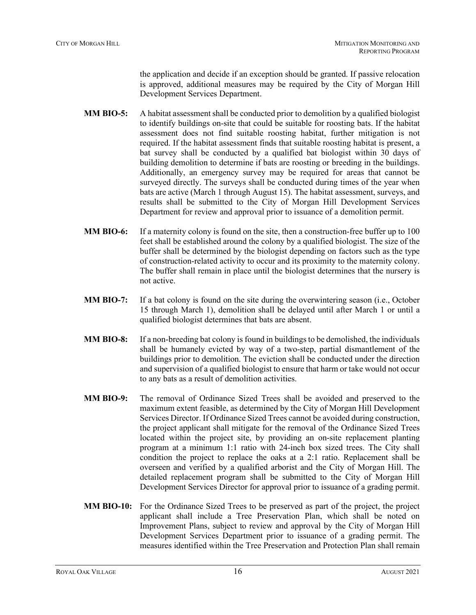the application and decide if an exception should be granted. If passive relocation is approved, additional measures may be required by the City of Morgan Hill Development Services Department.

- **MM BIO-5:** A habitat assessment shall be conducted prior to demolition by a qualified biologist to identify buildings on-site that could be suitable for roosting bats. If the habitat assessment does not find suitable roosting habitat, further mitigation is not required. If the habitat assessment finds that suitable roosting habitat is present, a bat survey shall be conducted by a qualified bat biologist within 30 days of building demolition to determine if bats are roosting or breeding in the buildings. Additionally, an emergency survey may be required for areas that cannot be surveyed directly. The surveys shall be conducted during times of the year when bats are active (March 1 through August 15). The habitat assessment, surveys, and results shall be submitted to the City of Morgan Hill Development Services Department for review and approval prior to issuance of a demolition permit.
- **MM BIO-6:** If a maternity colony is found on the site, then a construction-free buffer up to 100 feet shall be established around the colony by a qualified biologist. The size of the buffer shall be determined by the biologist depending on factors such as the type of construction‐related activity to occur and its proximity to the maternity colony. The buffer shall remain in place until the biologist determines that the nursery is not active.
- **MM BIO-7:** If a bat colony is found on the site during the overwintering season (i.e., October 15 through March 1), demolition shall be delayed until after March 1 or until a qualified biologist determines that bats are absent.
- **MM BIO-8:** If a non-breeding bat colony is found in buildings to be demolished, the individuals shall be humanely evicted by way of a two-step, partial dismantlement of the buildings prior to demolition. The eviction shall be conducted under the direction and supervision of a qualified biologist to ensure that harm or take would not occur to any bats as a result of demolition activities.
- **MM BIO-9:** The removal of Ordinance Sized Trees shall be avoided and preserved to the maximum extent feasible, as determined by the City of Morgan Hill Development Services Director. If Ordinance Sized Trees cannot be avoided during construction, the project applicant shall mitigate for the removal of the Ordinance Sized Trees located within the project site, by providing an on-site replacement planting program at a minimum 1:1 ratio with 24-inch box sized trees. The City shall condition the project to replace the oaks at a 2:1 ratio. Replacement shall be overseen and verified by a qualified arborist and the City of Morgan Hill. The detailed replacement program shall be submitted to the City of Morgan Hill Development Services Director for approval prior to issuance of a grading permit.
- **MM BIO-10:** For the Ordinance Sized Trees to be preserved as part of the project, the project applicant shall include a Tree Preservation Plan, which shall be noted on Improvement Plans, subject to review and approval by the City of Morgan Hill Development Services Department prior to issuance of a grading permit. The measures identified within the Tree Preservation and Protection Plan shall remain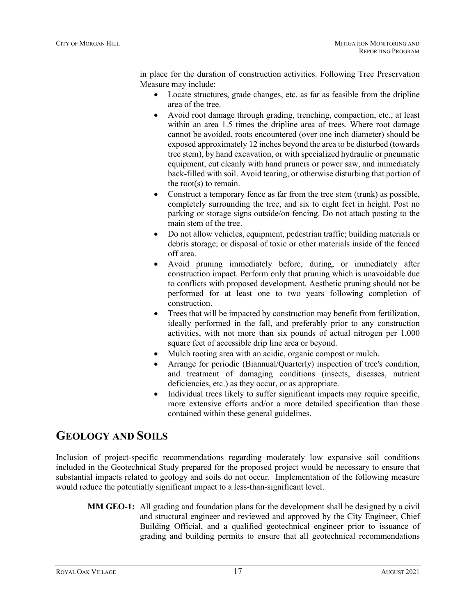in place for the duration of construction activities. Following Tree Preservation Measure may include:

- Locate structures, grade changes, etc. as far as feasible from the dripline area of the tree.
- Avoid root damage through grading, trenching, compaction, etc., at least within an area 1.5 times the dripline area of trees. Where root damage cannot be avoided, roots encountered (over one inch diameter) should be exposed approximately 12 inches beyond the area to be disturbed (towards tree stem), by hand excavation, or with specialized hydraulic or pneumatic equipment, cut cleanly with hand pruners or power saw, and immediately back-filled with soil. Avoid tearing, or otherwise disturbing that portion of the root(s) to remain.
- Construct a temporary fence as far from the tree stem (trunk) as possible, completely surrounding the tree, and six to eight feet in height. Post no parking or storage signs outside/on fencing. Do not attach posting to the main stem of the tree.
- Do not allow vehicles, equipment, pedestrian traffic; building materials or debris storage; or disposal of toxic or other materials inside of the fenced off area.
- Avoid pruning immediately before, during, or immediately after construction impact. Perform only that pruning which is unavoidable due to conflicts with proposed development. Aesthetic pruning should not be performed for at least one to two years following completion of construction.
- Trees that will be impacted by construction may benefit from fertilization, ideally performed in the fall, and preferably prior to any construction activities, with not more than six pounds of actual nitrogen per 1,000 square feet of accessible drip line area or beyond.
- Mulch rooting area with an acidic, organic compost or mulch.
- Arrange for periodic (Biannual/Quarterly) inspection of tree's condition, and treatment of damaging conditions (insects, diseases, nutrient deficiencies, etc.) as they occur, or as appropriate.
- Individual trees likely to suffer significant impacts may require specific, more extensive efforts and/or a more detailed specification than those contained within these general guidelines.

# **GEOLOGY AND SOILS**

Inclusion of project-specific recommendations regarding moderately low expansive soil conditions included in the Geotechnical Study prepared for the proposed project would be necessary to ensure that substantial impacts related to geology and soils do not occur. Implementation of the following measure would reduce the potentially significant impact to a less-than-significant level.

**MM GEO-1:** All grading and foundation plans for the development shall be designed by a civil and structural engineer and reviewed and approved by the City Engineer, Chief Building Official, and a qualified geotechnical engineer prior to issuance of grading and building permits to ensure that all geotechnical recommendations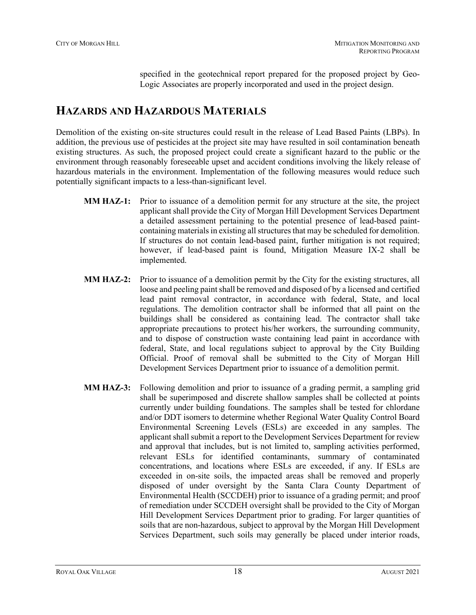specified in the geotechnical report prepared for the proposed project by Geo-Logic Associates are properly incorporated and used in the project design.

# **HAZARDS AND HAZARDOUS MATERIALS**

Demolition of the existing on-site structures could result in the release of Lead Based Paints (LBPs). In addition, the previous use of pesticides at the project site may have resulted in soil contamination beneath existing structures. As such, the proposed project could create a significant hazard to the public or the environment through reasonably foreseeable upset and accident conditions involving the likely release of hazardous materials in the environment. Implementation of the following measures would reduce such potentially significant impacts to a less-than-significant level.

- **MM HAZ-1:** Prior to issuance of a demolition permit for any structure at the site, the project applicant shall provide the City of Morgan Hill Development Services Department a detailed assessment pertaining to the potential presence of lead-based paintcontaining materials in existing all structures that may be scheduled for demolition. If structures do not contain lead-based paint, further mitigation is not required; however, if lead-based paint is found, Mitigation Measure IX-2 shall be implemented.
- **MM HAZ-2:** Prior to issuance of a demolition permit by the City for the existing structures, all loose and peeling paint shall be removed and disposed of by a licensed and certified lead paint removal contractor, in accordance with federal, State, and local regulations. The demolition contractor shall be informed that all paint on the buildings shall be considered as containing lead. The contractor shall take appropriate precautions to protect his/her workers, the surrounding community, and to dispose of construction waste containing lead paint in accordance with federal, State, and local regulations subject to approval by the City Building Official. Proof of removal shall be submitted to the City of Morgan Hill Development Services Department prior to issuance of a demolition permit.
- **MM HAZ-3:** Following demolition and prior to issuance of a grading permit, a sampling grid shall be superimposed and discrete shallow samples shall be collected at points currently under building foundations. The samples shall be tested for chlordane and/or DDT isomers to determine whether Regional Water Quality Control Board Environmental Screening Levels (ESLs) are exceeded in any samples. The applicant shall submit a report to the Development Services Department for review and approval that includes, but is not limited to, sampling activities performed, relevant ESLs for identified contaminants, summary of contaminated concentrations, and locations where ESLs are exceeded, if any. If ESLs are exceeded in on-site soils, the impacted areas shall be removed and properly disposed of under oversight by the Santa Clara County Department of Environmental Health (SCCDEH) prior to issuance of a grading permit; and proof of remediation under SCCDEH oversight shall be provided to the City of Morgan Hill Development Services Department prior to grading. For larger quantities of soils that are non-hazardous, subject to approval by the Morgan Hill Development Services Department, such soils may generally be placed under interior roads,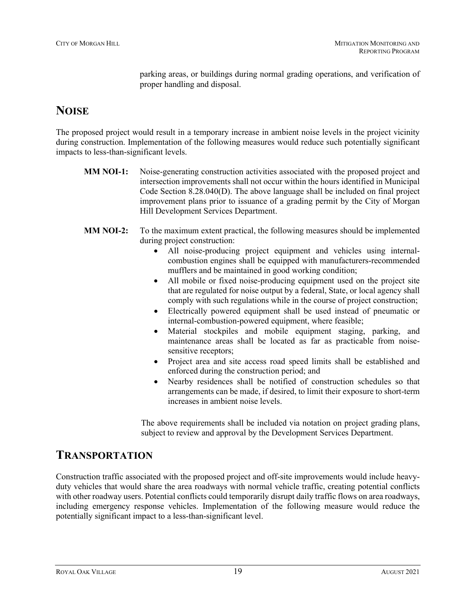parking areas, or buildings during normal grading operations, and verification of proper handling and disposal.

## **NOISE**

The proposed project would result in a temporary increase in ambient noise levels in the project vicinity during construction. Implementation of the following measures would reduce such potentially significant impacts to less-than-significant levels.

- **MM NOI-1:** Noise-generating construction activities associated with the proposed project and intersection improvements shall not occur within the hours identified in Municipal Code Section 8.28.040(D). The above language shall be included on final project improvement plans prior to issuance of a grading permit by the City of Morgan Hill Development Services Department.
- **MM NOI-2:** To the maximum extent practical, the following measures should be implemented during project construction:
	- All noise-producing project equipment and vehicles using internalcombustion engines shall be equipped with manufacturers-recommended mufflers and be maintained in good working condition;
	- All mobile or fixed noise-producing equipment used on the project site that are regulated for noise output by a federal, State, or local agency shall comply with such regulations while in the course of project construction;
	- Electrically powered equipment shall be used instead of pneumatic or internal-combustion-powered equipment, where feasible;
	- Material stockpiles and mobile equipment staging, parking, and maintenance areas shall be located as far as practicable from noisesensitive receptors;
	- Project area and site access road speed limits shall be established and enforced during the construction period; and
	- Nearby residences shall be notified of construction schedules so that arrangements can be made, if desired, to limit their exposure to short-term increases in ambient noise levels.

The above requirements shall be included via notation on project grading plans, subject to review and approval by the Development Services Department.

## **TRANSPORTATION**

Construction traffic associated with the proposed project and off-site improvements would include heavyduty vehicles that would share the area roadways with normal vehicle traffic, creating potential conflicts with other roadway users. Potential conflicts could temporarily disrupt daily traffic flows on area roadways, including emergency response vehicles. Implementation of the following measure would reduce the potentially significant impact to a less-than-significant level.